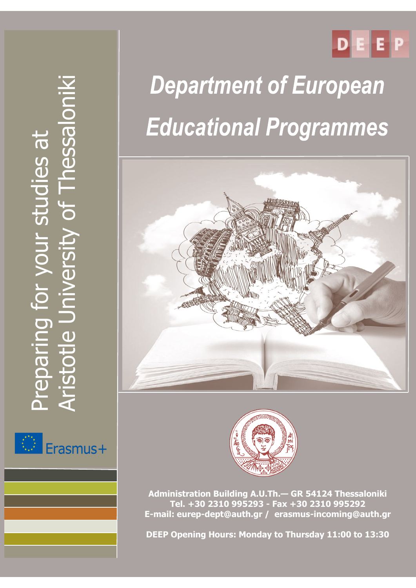

# Aristotle University of Thessaloniki **Thessalonik** Preparing for your studies at Preparing for your studies at  $\frac{1}{\sqrt{2}}$ / Prsit istotle Univ



## **Department of European Educational Programmes**





**Administration Building A.U.Th.— GR 54124 Thessaloniki Tel. +30 2310 995293 - Fax +30 2310 995292 E-mail: eurep-dept@auth.gr / erasmus-incoming@auth.gr**

**DEEP Opening Hours: Monday to Thursday 11:00 to 13:30**